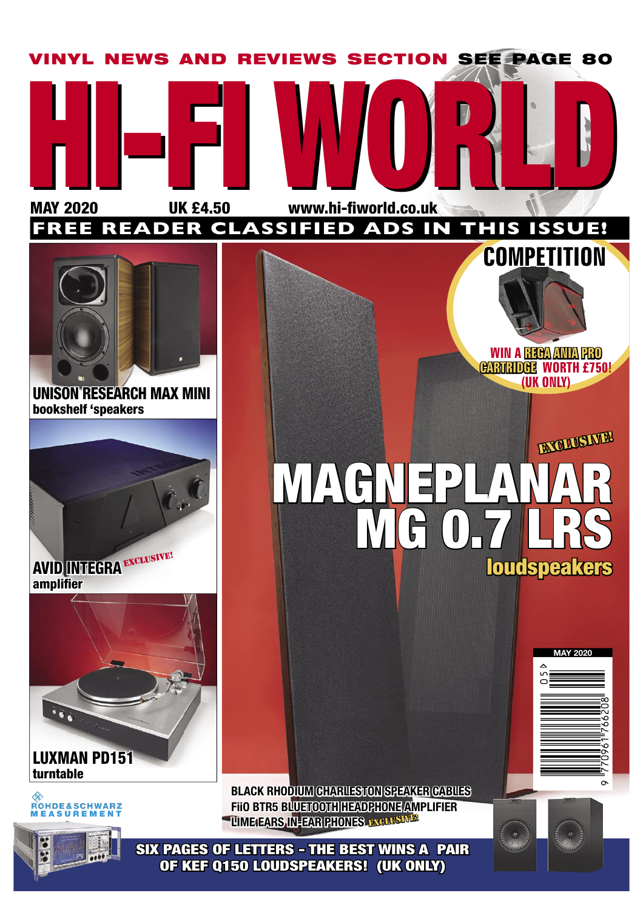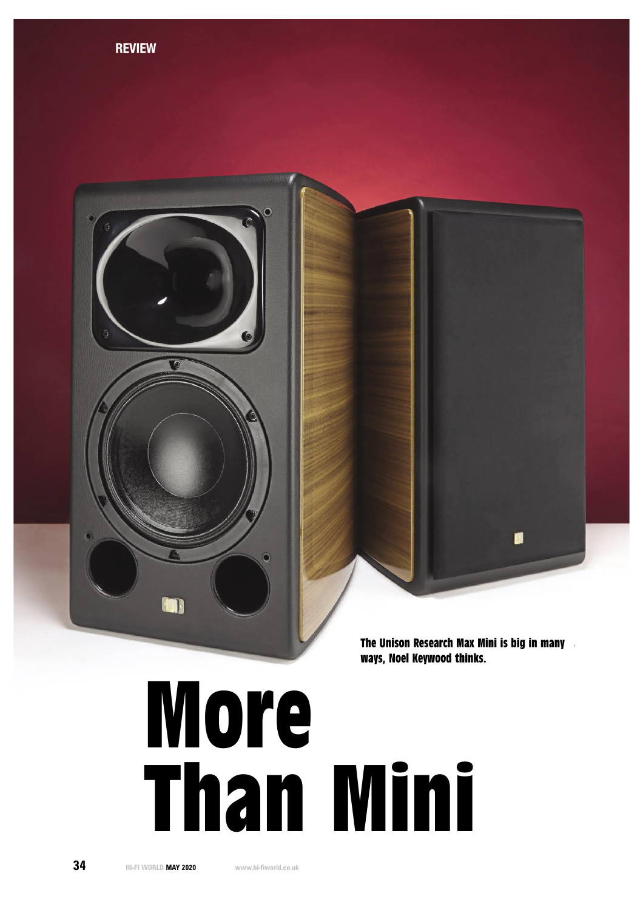

# More Than Mini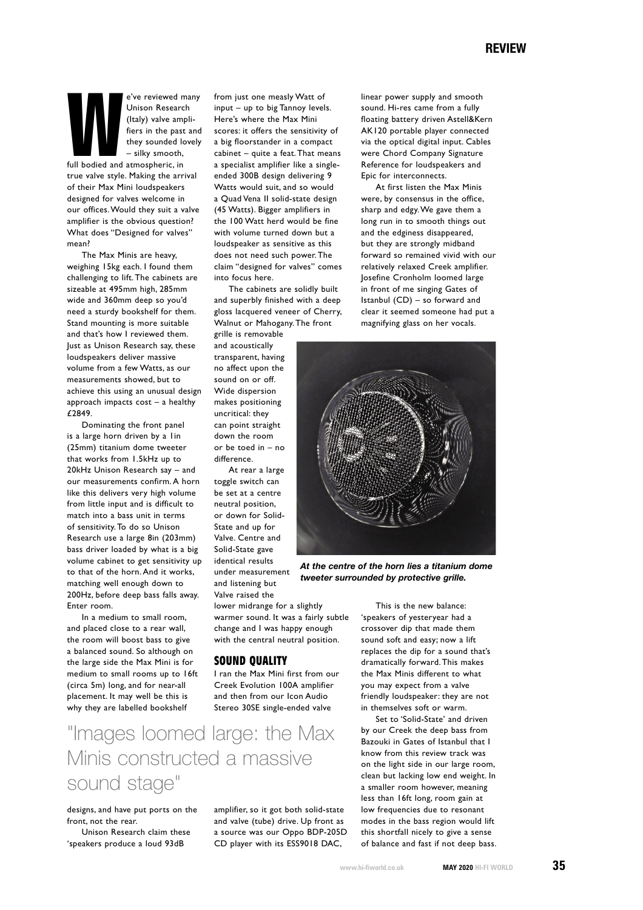e've reviewed many<br>
Unison Research<br>
(Italy) valve ampli-<br>
fiers in the past and<br>
they sounded lovely<br>
— silky smooth,<br>
full bodied and atmospheric, in<br>
the smooth is a smooth in the smooth of the smooth in the smooth of t Unison Research (Italy) valve amplifiers in the past and they sounded lovely – silky smooth,

true valve style. Making the arrival of their Max Mini loudspeakers designed for valves welcome in our offices. Would they suit a valve amplifier is the obvious question? What does "Designed for valves" mean?

 The Max Minis are heavy, weighing 15kg each. I found them challenging to lift. The cabinets are sizeable at 495mm high, 285mm wide and 360mm deep so you'd need a sturdy bookshelf for them. Stand mounting is more suitable and that's how I reviewed them. Just as Unison Research say, these loudspeakers deliver massive volume from a few Watts, as our measurements showed, but to achieve this using an unusual design approach impacts cost – a healthy £2849.

 Dominating the front panel is a large horn driven by a 1in (25mm) titanium dome tweeter that works from 1.5kHz up to 20kHz Unison Research say – and our measurements confirm. A horn like this delivers very high volume from little input and is difficult to match into a bass unit in terms of sensitivity. To do so Unison Research use a large 8in (203mm) bass driver loaded by what is a big volume cabinet to get sensitivity up to that of the horn. And it works, matching well enough down to 200Hz, before deep bass falls away. Enter room.

 In a medium to small room, and placed close to a rear wall, the room will boost bass to give a balanced sound. So although on the large side the Max Mini is for medium to small rooms up to 16ft (circa 5m) long, and for near-all placement. It may well be this is why they are labelled bookshelf

from just one measly Watt of input – up to big Tannoy levels. Here's where the Max Mini scores: it offers the sensitivity of a big floorstander in a compact cabinet – quite a feat. That means a specialist amplifier like a singleended 300B design delivering 9 Watts would suit, and so would a Quad Vena II solid-state design (45 Watts). Bigger amplifiers in the 100 Watt herd would be fine with volume turned down but a loudspeaker as sensitive as this does not need such power. The claim "designed for valves" comes into focus here.

 The cabinets are solidly built and superbly finished with a deep gloss lacquered veneer of Cherry, Walnut or Mahogany. The front

grille is removable and acoustically transparent, having no affect upon the sound on or off. Wide dispersion makes positioning uncritical: they can point straight down the room or be toed in – no difference.

 At rear a large toggle switch can be set at a centre neutral position, or down for Solid-State and up for Valve. Centre and Solid-State gave identical results under measurement and listening but Valve raised the

lower midrange for a slightly warmer sound. It was a fairly subtle change and I was happy enough with the central neutral position.

## **SOUND OUALITY**

I ran the Max Mini first from our Creek Evolution 100A amplifier and then from our Icon Audio Stereo 30SE single-ended valve

"Images loomed large: the Max Minis constructed a massive sound stage"

designs, and have put ports on the front, not the rear.

 Unison Research claim these 'speakers produce a loud 93dB

amplifier, so it got both solid-state and valve (tube) drive. Up front as a source was our Oppo BDP-205D CD player with its ESS9018 DAC,

linear power supply and smooth sound. Hi-res came from a fully floating battery driven Astell&Kern AK120 portable player connected via the optical digital input. Cables were Chord Company Signature Reference for loudspeakers and Epic for interconnects.

 At first listen the Max Minis were, by consensus in the office, sharp and edgy. We gave them a long run in to smooth things out and the edginess disappeared, but they are strongly midband forward so remained vivid with our relatively relaxed Creek amplifier. Josefine Cronholm loomed large in front of me singing Gates of Istanbul (CD) – so forward and clear it seemed someone had put a magnifying glass on her vocals.



At the centre of the horn lies a titanium dome tweeter surrounded by protective grille.

 This is the new balance: 'speakers of yesteryear had a crossover dip that made them sound soft and easy; now a lift replaces the dip for a sound that's dramatically forward. This makes the Max Minis different to what you may expect from a valve friendly loudspeaker: they are not in themselves soft or warm.

 Set to 'Solid-State' and driven by our Creek the deep bass from Bazouki in Gates of Istanbul that I know from this review track was on the light side in our large room, clean but lacking low end weight. In a smaller room however, meaning less than 16ft long, room gain at low frequencies due to resonant modes in the bass region would lift this shortfall nicely to give a sense of balance and fast if not deep bass.